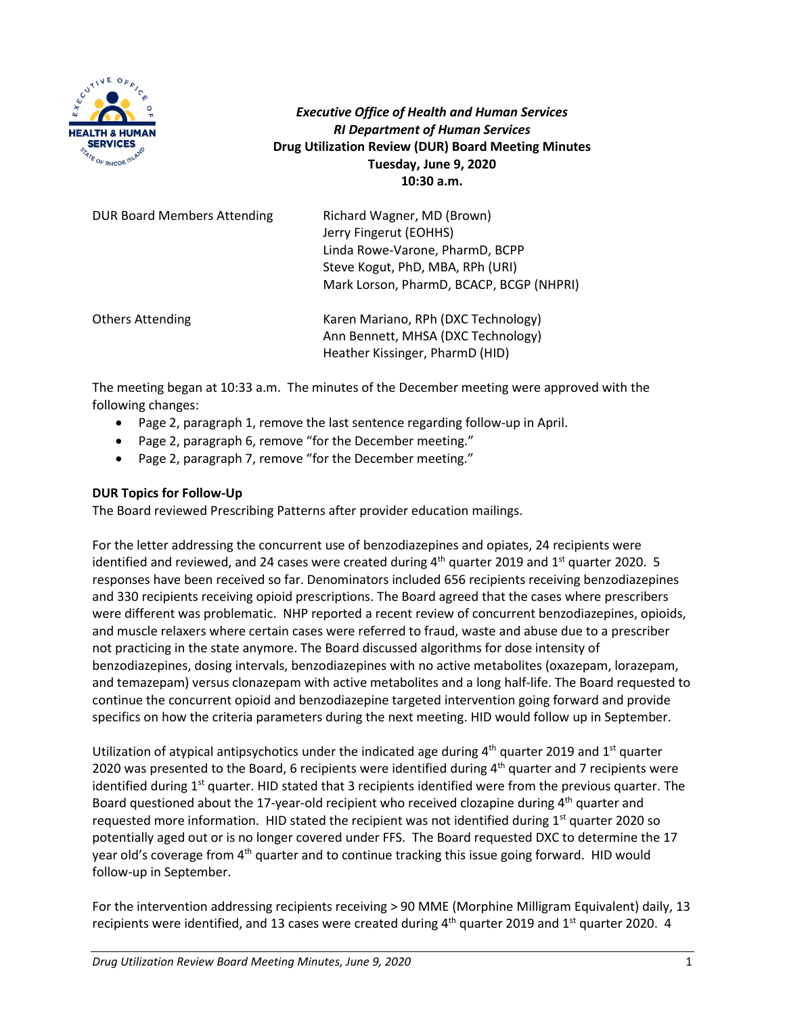

*Executive Office of Health and Human Services RI Department of Human Services* **Drug Utilization Review (DUR) Board Meeting Minutes Tuesday, June 9, 2020 10:30 a.m.**

| <b>DUR Board Members Attending</b> | Richard Wagner, MD (Brown)<br>Jerry Fingerut (EOHHS)<br>Linda Rowe-Varone, PharmD, BCPP                      |
|------------------------------------|--------------------------------------------------------------------------------------------------------------|
|                                    | Steve Kogut, PhD, MBA, RPh (URI)<br>Mark Lorson, PharmD, BCACP, BCGP (NHPRI)                                 |
| <b>Others Attending</b>            | Karen Mariano, RPh (DXC Technology)<br>Ann Bennett, MHSA (DXC Technology)<br>Heather Kissinger, PharmD (HID) |

The meeting began at 10:33 a.m. The minutes of the December meeting were approved with the following changes:

- Page 2, paragraph 1, remove the last sentence regarding follow-up in April.
- Page 2, paragraph 6, remove "for the December meeting."
- Page 2, paragraph 7, remove "for the December meeting."

## **DUR Topics for Follow-Up**

The Board reviewed Prescribing Patterns after provider education mailings.

For the letter addressing the concurrent use of benzodiazepines and opiates, 24 recipients were identified and reviewed, and 24 cases were created during  $4<sup>th</sup>$  quarter 2019 and  $1<sup>st</sup>$  quarter 2020. 5 responses have been received so far. Denominators included 656 recipients receiving benzodiazepines and 330 recipients receiving opioid prescriptions. The Board agreed that the cases where prescribers were different was problematic. NHP reported a recent review of concurrent benzodiazepines, opioids, and muscle relaxers where certain cases were referred to fraud, waste and abuse due to a prescriber not practicing in the state anymore. The Board discussed algorithms for dose intensity of benzodiazepines, dosing intervals, benzodiazepines with no active metabolites (oxazepam, lorazepam, and temazepam) versus clonazepam with active metabolites and a long half-life. The Board requested to continue the concurrent opioid and benzodiazepine targeted intervention going forward and provide specifics on how the criteria parameters during the next meeting. HID would follow up in September.

Utilization of atypical antipsychotics under the indicated age during  $4<sup>th</sup>$  quarter 2019 and  $1<sup>st</sup>$  quarter 2020 was presented to the Board, 6 recipients were identified during  $4<sup>th</sup>$  quarter and 7 recipients were identified during  $1<sup>st</sup>$  quarter. HID stated that 3 recipients identified were from the previous quarter. The Board questioned about the 17-year-old recipient who received clozapine during  $4<sup>th</sup>$  quarter and requested more information. HID stated the recipient was not identified during  $1<sup>st</sup>$  quarter 2020 so potentially aged out or is no longer covered under FFS. The Board requested DXC to determine the 17 year old's coverage from 4<sup>th</sup> quarter and to continue tracking this issue going forward. HID would follow-up in September.

For the intervention addressing recipients receiving > 90 MME (Morphine Milligram Equivalent) daily, 13 recipients were identified, and 13 cases were created during 4<sup>th</sup> quarter 2019 and 1<sup>st</sup> quarter 2020. 4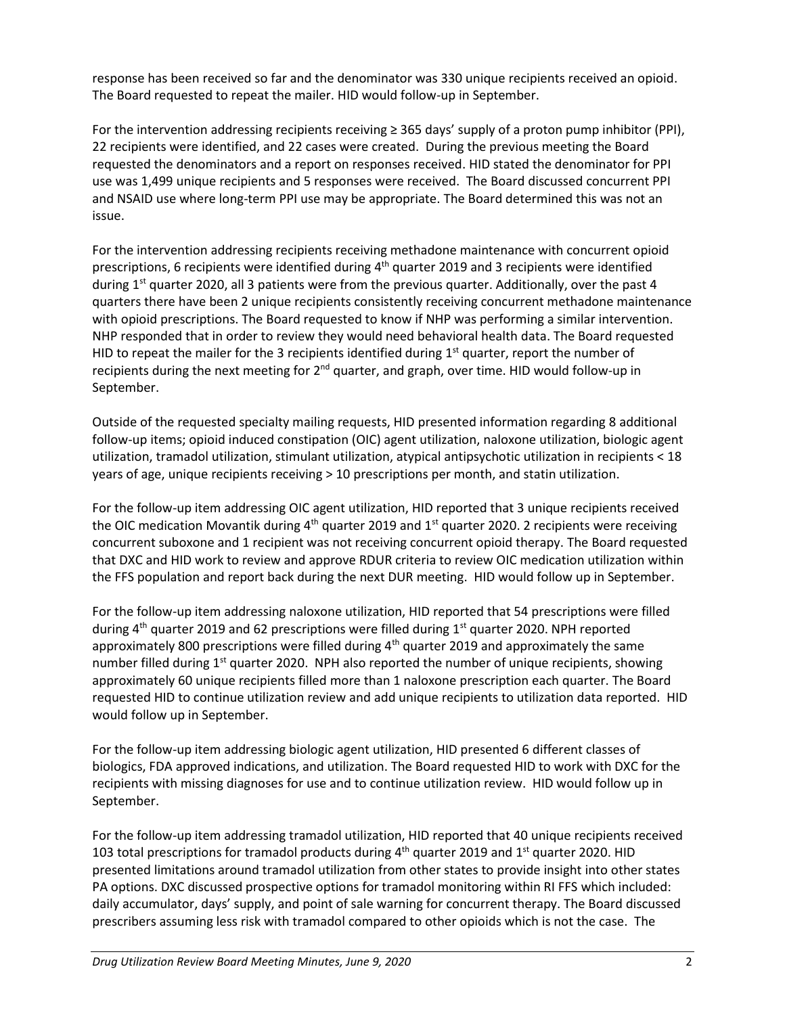response has been received so far and the denominator was 330 unique recipients received an opioid. The Board requested to repeat the mailer. HID would follow-up in September.

For the intervention addressing recipients receiving  $\geq$  365 days' supply of a proton pump inhibitor (PPI), 22 recipients were identified, and 22 cases were created. During the previous meeting the Board requested the denominators and a report on responses received. HID stated the denominator for PPI use was 1,499 unique recipients and 5 responses were received. The Board discussed concurrent PPI and NSAID use where long-term PPI use may be appropriate. The Board determined this was not an issue.

For the intervention addressing recipients receiving methadone maintenance with concurrent opioid prescriptions, 6 recipients were identified during  $4^{\text{th}}$  quarter 2019 and 3 recipients were identified during  $1<sup>st</sup>$  quarter 2020, all 3 patients were from the previous quarter. Additionally, over the past 4 quarters there have been 2 unique recipients consistently receiving concurrent methadone maintenance with opioid prescriptions. The Board requested to know if NHP was performing a similar intervention. NHP responded that in order to review they would need behavioral health data. The Board requested HID to repeat the mailer for the 3 recipients identified during  $1<sup>st</sup>$  quarter, report the number of recipients during the next meeting for 2<sup>nd</sup> quarter, and graph, over time. HID would follow-up in September.

Outside of the requested specialty mailing requests, HID presented information regarding 8 additional follow-up items; opioid induced constipation (OIC) agent utilization, naloxone utilization, biologic agent utilization, tramadol utilization, stimulant utilization, atypical antipsychotic utilization in recipients < 18 years of age, unique recipients receiving > 10 prescriptions per month, and statin utilization.

For the follow-up item addressing OIC agent utilization, HID reported that 3 unique recipients received the OIC medication Movantik during  $4<sup>th</sup>$  quarter 2019 and  $1<sup>st</sup>$  quarter 2020. 2 recipients were receiving concurrent suboxone and 1 recipient was not receiving concurrent opioid therapy. The Board requested that DXC and HID work to review and approve RDUR criteria to review OIC medication utilization within the FFS population and report back during the next DUR meeting. HID would follow up in September.

For the follow-up item addressing naloxone utilization, HID reported that 54 prescriptions were filled during 4<sup>th</sup> quarter 2019 and 62 prescriptions were filled during 1<sup>st</sup> quarter 2020. NPH reported approximately 800 prescriptions were filled during  $4<sup>th</sup>$  quarter 2019 and approximately the same number filled during  $1<sup>st</sup>$  quarter 2020. NPH also reported the number of unique recipients, showing approximately 60 unique recipients filled more than 1 naloxone prescription each quarter. The Board requested HID to continue utilization review and add unique recipients to utilization data reported. HID would follow up in September.

For the follow-up item addressing biologic agent utilization, HID presented 6 different classes of biologics, FDA approved indications, and utilization. The Board requested HID to work with DXC for the recipients with missing diagnoses for use and to continue utilization review. HID would follow up in September.

For the follow-up item addressing tramadol utilization, HID reported that 40 unique recipients received 103 total prescriptions for tramadol products during  $4<sup>th</sup>$  quarter 2019 and 1<sup>st</sup> quarter 2020. HID presented limitations around tramadol utilization from other states to provide insight into other states PA options. DXC discussed prospective options for tramadol monitoring within RI FFS which included: daily accumulator, days' supply, and point of sale warning for concurrent therapy. The Board discussed prescribers assuming less risk with tramadol compared to other opioids which is not the case. The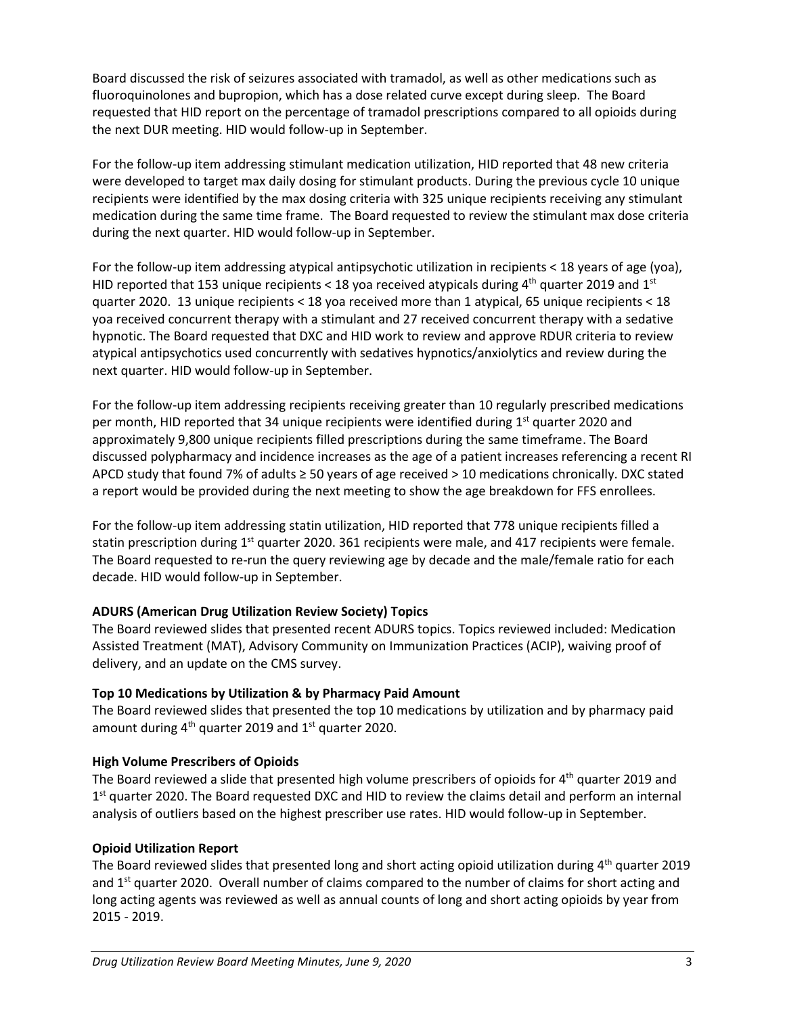Board discussed the risk of seizures associated with tramadol, as well as other medications such as fluoroquinolones and bupropion, which has a dose related curve except during sleep. The Board requested that HID report on the percentage of tramadol prescriptions compared to all opioids during the next DUR meeting. HID would follow-up in September.

For the follow-up item addressing stimulant medication utilization, HID reported that 48 new criteria were developed to target max daily dosing for stimulant products. During the previous cycle 10 unique recipients were identified by the max dosing criteria with 325 unique recipients receiving any stimulant medication during the same time frame. The Board requested to review the stimulant max dose criteria during the next quarter. HID would follow-up in September.

For the follow-up item addressing atypical antipsychotic utilization in recipients < 18 years of age (yoa), HID reported that 153 unique recipients < 18 yoa received atypicals during 4<sup>th</sup> quarter 2019 and 1<sup>st</sup> quarter 2020. 13 unique recipients < 18 yoa received more than 1 atypical, 65 unique recipients < 18 yoa received concurrent therapy with a stimulant and 27 received concurrent therapy with a sedative hypnotic. The Board requested that DXC and HID work to review and approve RDUR criteria to review atypical antipsychotics used concurrently with sedatives hypnotics/anxiolytics and review during the next quarter. HID would follow-up in September.

For the follow-up item addressing recipients receiving greater than 10 regularly prescribed medications per month, HID reported that 34 unique recipients were identified during 1<sup>st</sup> quarter 2020 and approximately 9,800 unique recipients filled prescriptions during the same timeframe. The Board discussed polypharmacy and incidence increases as the age of a patient increases referencing a recent RI APCD study that found 7% of adults ≥ 50 years of age received > 10 medications chronically. DXC stated a report would be provided during the next meeting to show the age breakdown for FFS enrollees.

For the follow-up item addressing statin utilization, HID reported that 778 unique recipients filled a statin prescription during 1<sup>st</sup> quarter 2020. 361 recipients were male, and 417 recipients were female. The Board requested to re-run the query reviewing age by decade and the male/female ratio for each decade. HID would follow-up in September.

# **ADURS (American Drug Utilization Review Society) Topics**

The Board reviewed slides that presented recent ADURS topics. Topics reviewed included: Medication Assisted Treatment (MAT), Advisory Community on Immunization Practices (ACIP), waiving proof of delivery, and an update on the CMS survey.

# **Top 10 Medications by Utilization & by Pharmacy Paid Amount**

The Board reviewed slides that presented the top 10 medications by utilization and by pharmacy paid amount during 4<sup>th</sup> quarter 2019 and 1<sup>st</sup> quarter 2020.

#### **High Volume Prescribers of Opioids**

The Board reviewed a slide that presented high volume prescribers of opioids for 4<sup>th</sup> quarter 2019 and 1<sup>st</sup> quarter 2020. The Board requested DXC and HID to review the claims detail and perform an internal analysis of outliers based on the highest prescriber use rates. HID would follow-up in September.

#### **Opioid Utilization Report**

The Board reviewed slides that presented long and short acting opioid utilization during 4<sup>th</sup> quarter 2019 and  $1<sup>st</sup>$  quarter 2020. Overall number of claims compared to the number of claims for short acting and long acting agents was reviewed as well as annual counts of long and short acting opioids by year from 2015 - 2019.